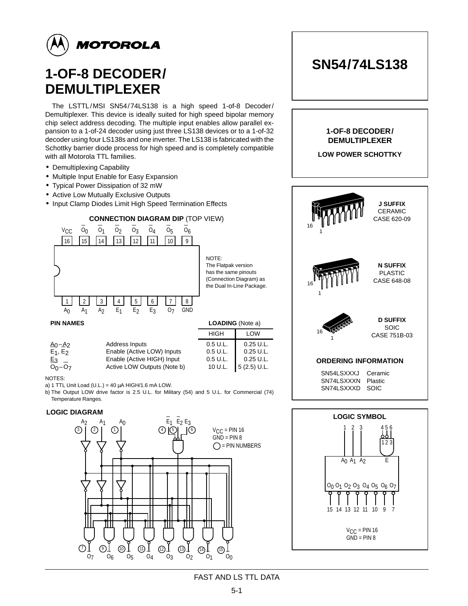

# **1-OF-8 DECODER/ DEMULTIPLEXER**

The LSTTL/MSI SN54/74LS138 is a high speed 1-of-8 Decoder/ Demultiplexer. This device is ideally suited for high speed bipolar memory chip select address decoding. The multiple input enables allow parallel expansion to a 1-of-24 decoder using just three LS138 devices or to a 1-of-32 decoder using four LS138s and one inverter. The LS138 is fabricated with the Schottky barrier diode process for high speed and is completely compatible with all Motorola TTL families.

- Demultiplexing Capability
- Multiple Input Enable for Easy Expansion
- Typical Power Dissipation of 32 mW
- Active Low Mutually Exclusive Outputs
- Input Clamp Diodes Limit High Speed Termination Effects



| <b>PIN NAMES</b>                                  | <b>LOADING</b> (Note a)                                                                                   |                                             |                                                            |  |  |
|---------------------------------------------------|-----------------------------------------------------------------------------------------------------------|---------------------------------------------|------------------------------------------------------------|--|--|
|                                                   |                                                                                                           | <b>HIGH</b>                                 | <b>LOW</b>                                                 |  |  |
| $A_0 - A_2$<br>$E_1, E_2$<br>$E_3$<br>$O_0 - O_7$ | Address Inputs<br>Enable (Active LOW) Inputs<br>Enable (Active HIGH) Input<br>Active LOW Outputs (Note b) | 0.5 U.L.<br>0.5 U.L.<br>0.5 U.L.<br>10 U.L. | $0.25$ U.L.<br>$0.25$ U.L.<br>$0.25$ U.L.<br>$5(2.5)$ U.L. |  |  |

NOTES:

a) 1 TTL Unit Load (U.L.) = 40  $\mu$ A HIGH/1.6 mA LOW.

b) The Output LOW drive factor is 2.5 U.L. for Military (54) and 5 U.L. for Commercial (74) Temperature Ranges.

### **LOGIC DIAGRAM**



| 1-OF-8 DECODER/<br><b>DEMULTIPLEXER</b><br><b>LOW POWER SCHOTTKY</b> |                                                  |  |  |  |  |  |  |  |
|----------------------------------------------------------------------|--------------------------------------------------|--|--|--|--|--|--|--|
| <b>MMM</b><br>16                                                     | <b>J SUFFIX</b><br><b>CERAMIC</b><br>CASE 620-09 |  |  |  |  |  |  |  |
| THING                                                                | <b>N SUFFIX</b><br><b>PLASTIC</b><br>CASE 648-08 |  |  |  |  |  |  |  |
| <b>CARGOS</b><br>1                                                   | <b>D SUFFIX</b><br>SOIC<br>CASE 751B-03          |  |  |  |  |  |  |  |
| <b>ORDERING INFORMATION</b>                                          |                                                  |  |  |  |  |  |  |  |
| SN54LSXXXJ<br>SN74LSXXXN<br>SN74LSXXXD                               | Ceramic<br>Plastic<br>SOIC                       |  |  |  |  |  |  |  |
| <b>LOGIC SYMBOL</b>                                                  |                                                  |  |  |  |  |  |  |  |
|                                                                      |                                                  |  |  |  |  |  |  |  |



### FAST AND LS TTL DATA

# **SN54/74LS138**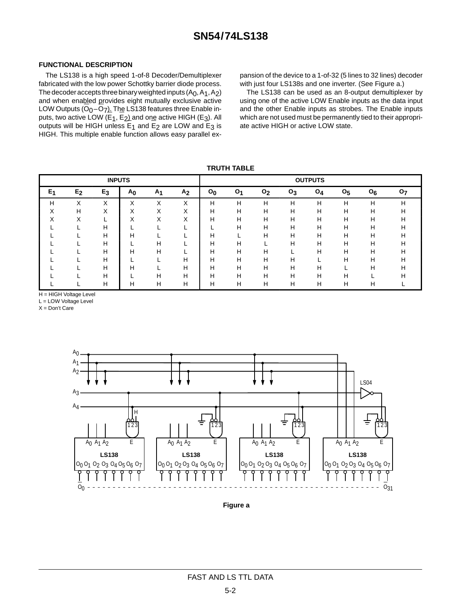#### **FUNCTIONAL DESCRIPTION**

The LS138 is a high speed 1-of-8 Decoder/Demultiplexer fabricated with the low power Schottky barrier diode process. The decoder accepts three binary weighted inputs  $(A<sub>0</sub>, A<sub>1</sub>, A<sub>2</sub>)$ and when enabled provides eight mutually exclusive active LOW Outputs  $(O_0-O_7)$ . The LS138 features three Enable inputs, two active LOW (E<sub>1</sub>, E<sub>2</sub>) and one active HIGH (E<sub>3</sub>). All outputs will be HIGH unless  $E_1$  and  $E_2$  are LOW and  $E_3$  is HIGH. This multiple enable function allows easy parallel ex-

pansion of the device to a 1-of-32 (5 lines to 32 lines) decoder with just four LS138s and one inverter. (See Figure a.)

The LS138 can be used as an 8-output demultiplexer by using one of the active LOW Enable inputs as the data input and the other Enable inputs as strobes. The Enable inputs which are not used must be permanently tied to their appropriate active HIGH or active LOW state.

**TRUTH TABLE**

| <b>INPUTS</b> |                  |       |                   |                   |                   |                |                |                | <b>OUTPUTS</b> |       |                |       |    |
|---------------|------------------|-------|-------------------|-------------------|-------------------|----------------|----------------|----------------|----------------|-------|----------------|-------|----|
| $E_1$         | E <sub>2</sub>   | $E_3$ | A <sub>0</sub>    | A <sub>1</sub>    | A <sub>2</sub>    | O <sub>0</sub> | O <sub>1</sub> | O <sub>2</sub> | $O_3$          | $O_4$ | O <sub>5</sub> | $O_6$ | 07 |
| н             | $\check{ }$<br>⋏ | ⋏     | $\check{ }$<br>⋏  | $\check{ }$<br>⋏  | X                 | н              | н              | н              | н              | н     | н              | н     | н  |
|               | н                | X     | $\checkmark$<br>∧ | X                 | X                 | Н              | н              | н              | н              | н     | н              | н     | н  |
| ∧             | Χ                |       | $\checkmark$<br>∧ | $\checkmark$<br>⋏ | $\checkmark$<br>⌒ | Н              | н              | н              | Н              | н     | н              | н     | н  |
|               |                  | н     |                   |                   |                   |                | н              | н              | н              | н     | п              | н     | н  |
|               |                  | н     | н                 |                   |                   | Н              |                | н              | н              | н     | н              | н     | н  |
|               |                  | н     |                   | н                 |                   | н              | н              |                | н              | н     | н              | н     | н  |
|               |                  | н     | н                 | H                 |                   | н              | н              | н              |                | н     | н              | н     | н  |
|               |                  | H     |                   |                   | H                 | н              | н              | н              | н              |       | н              | н     | н  |
|               |                  | н     | н                 |                   | н                 | н              | н              | н              | н              | н     |                | н     | н  |
|               |                  | н     |                   | н                 | Н                 | Н              | н              | н              | Н              | н     | н              |       | н  |
|               |                  | Н     | н                 | н                 | н                 | Н              | н              | Н              | н              | Н     | н              | н     |    |

H = HIGH Voltage Level

L = LOW Voltage Level  $X = Don't Care$ 



**Figure a**